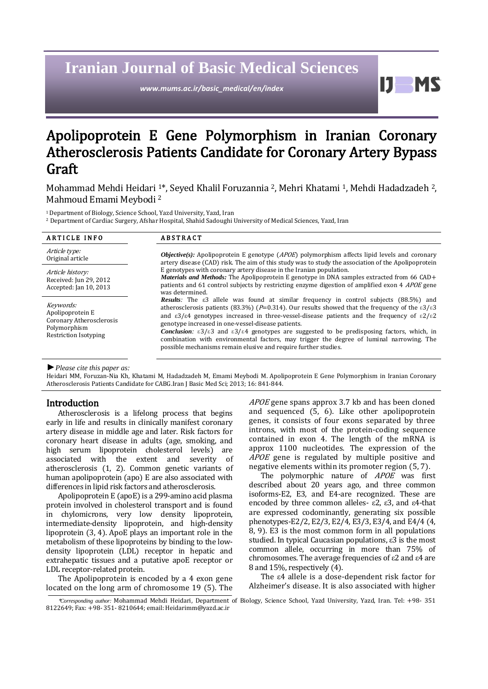# **Iranian Journal of Basic Medical Sciences**

*www.mums.ac.ir/basic\_medical/en/index*

11 **MS** 

# Apolipoprotein E Gene Polymorphism in Iranian Coronary Atherosclerosis Patients Candidate for Coronary Artery Bypass Graft

Mohammad Mehdi Heidari <sup>1</sup>\*, Seyed Khalil Foruzannia <sup>2</sup>, Mehri Khatami <sup>1</sup>, Mehdi Hadadzadeh <sup>2</sup>, Mahmoud Emami Meybodi <sup>2</sup>

<sup>1</sup>Department of Biology, Science School, Yazd University, Yazd, Iran

<sup>2</sup> Department of Cardiac Surgery, Afshar Hospital, Shahid Sadoughi University of Medical Sciences, Yazd, Iran

| <b>ARTICLE INFO</b>                                                                                       | <b>ABSTRACT</b>                                                                                                                                                                                                                                                                                                                                                                                                                                                                                                                                                                                                                                                                                                               |  |  |  |
|-----------------------------------------------------------------------------------------------------------|-------------------------------------------------------------------------------------------------------------------------------------------------------------------------------------------------------------------------------------------------------------------------------------------------------------------------------------------------------------------------------------------------------------------------------------------------------------------------------------------------------------------------------------------------------------------------------------------------------------------------------------------------------------------------------------------------------------------------------|--|--|--|
| Article type:<br>Original article                                                                         | <b><i>Objective(s):</i></b> Apolipoprotein E genotype ( <i>APOE</i> ) polymorphism affects lipid levels and coronary<br>artery disease (CAD) risk. The aim of this study was to study the association of the Apolipoprotein                                                                                                                                                                                                                                                                                                                                                                                                                                                                                                   |  |  |  |
| Article history:<br>Received: Jun 29, 2012<br>Accepted: Jan 10, 2013                                      | E genotypes with coronary artery disease in the Iranian population.<br><i>Materials and Methods:</i> The Apolipoprotein E genotype in DNA samples extracted from 66 CAD+<br>patients and 61 control subjects by restricting enzyme digestion of amplified exon 4 <i>APOE</i> gene<br>was determined.                                                                                                                                                                                                                                                                                                                                                                                                                          |  |  |  |
| Keywords:<br>Apolipoprotein E<br>Coronary Atherosclerosis<br>Polymorphism<br><b>Restriction Isotyping</b> | <b>Results</b> : The $\epsilon$ 3 allele was found at similar frequency in control subjects (88.5%) and<br>atherosclerosis patients (83.3%) ( $P=0.314$ ). Our results showed that the frequency of the $\epsilon 3/\epsilon 3$<br>and $\epsilon 3/\epsilon 4$ genotypes increased in three-vessel-disease patients and the frequency of $\epsilon 2/\epsilon 2$<br>genotype increased in one-vessel-disease patients.<br><b>Conclusion:</b> $\epsilon 3/\epsilon 3$ and $\epsilon 3/\epsilon 4$ genotypes are suggested to be predisposing factors, which, in<br>combination with environmental factors, may trigger the degree of luminal narrowing. The<br>possible mechanisms remain elusive and require further studies. |  |  |  |

*►Please cite this paper as:*

Heidari MM, Foruzan-Nia Kh, Khatami M, Hadadzadeh M, Emami Meybodi M. Apolipoprotein E Gene Polymorphism in Iranian Coronary Atherosclerosis Patients Candidate for CABG.Iran J Basic Med Sci; 2013; 16: 841-844.

#### Introduction

Atherosclerosis is a lifelong process that begins early in life and results in clinically manifest coronary artery disease in middle age and later. Risk factors for coronary heart disease in adults (age, smoking, and high serum lipoprotein cholesterol levels) are associated with the extent and severity of atherosclerosis [\(1,](#page-3-0) [2\)](#page-3-1). Common genetic variants of human apolipoprotein (apo) E are also associated with differences in lipid risk factors and atherosclerosis.

Apolipoprotein E (apoE) is a 299-amino acid plasma protein involved in cholesterol transport and is found in chylomicrons, very low density lipoprotein, intermediate-density lipoprotein, and high-density lipoprotein [\(3,](#page-3-2) [4\)](#page-3-3). ApoE plays an important role in the metabolism of these lipoproteins by binding to the lowdensity lipoprotein (LDL) receptor in hepatic and extrahepatic tissues and a putative apoE receptor or LDL receptor-related protein.

The Apolipoprotein is encoded by a 4 exon gene located on the long arm of chromosome 19 [\(5\)](#page-3-4). The APOE gene spans approx 3.7 kb and has been cloned and sequenced [\(5,](#page-3-4) [6\)](#page-3-5). Like other apolipoprotein genes, it consists of four exons separated by three introns, with most of the protein-coding sequence contained in exon 4. The length of the mRNA is approx 1100 nucleotides. The expression of the APOE gene is regulated by multiple positive and negative elements within its promoter region [\(5,](#page-3-4) [7\)](#page-3-6).

The polymorphic nature of *APOE* was first described about 20 years ago, and three common isoforms-E2, E3, and E4-are recognized. These are encoded by three common alleles- ε2, ε3, and ε4-that are expressed codominantly, generating six possible phenotypes-E2/2, E2/3, E2/4, E3/3, E3/4, and E4/4 [\(4,](#page-3-3)  [8,](#page-3-7) [9\)](#page-3-8). E3 is the most common form in all populations studied. In typical Caucasian populations, ε3 is the most common allele, occurring in more than 75% of chromosomes. The average frequencies of ε2 and ε4 are 8 and 15%, respectively [\(4\)](#page-3-3).

The ε4 allele is a dose-dependent risk factor for Alzheimer's disease. It is also associated with higher

<sup>\*</sup>*Corresponding author:* Mohammad Mehdi Heidari, Department of Biology, Science School, Yazd University, Yazd, Iran. Tel: +98- 351 8122649; Fax: +98- 351- 8210644; email: Heidarimm@yazd.ac.ir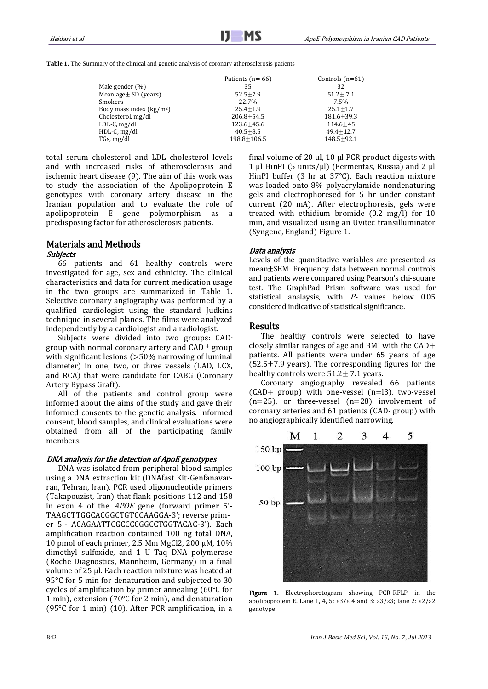|                           | Patients ( $n = 66$ ) | Controls $(n=61)$ |  |
|---------------------------|-----------------------|-------------------|--|
| Male gender $(\%)$        | 35                    | 32                |  |
| Mean $age \pm SD$ (years) | $52.5 + 7.9$          | $51.2 + 7.1$      |  |
| Smokers                   | 22.7%                 | 7.5%              |  |
| Body mass index $(kg/m2)$ | $25.4 + 1.9$          | $25.1 + 1.7$      |  |
| Cholesterol, mg/dl        | $206.8 + 54.5$        | $181.6 + 39.3$    |  |
| $LDL-C, mg/dl$            | $123.6 \pm 45.6$      | $114.6 + 45$      |  |
| $HDL-C, mg/dl$            | $40.5 \pm 8.5$        | $49.4 + 12.7$     |  |
| TGs, mg/dl                | $198.8 \pm 106.5$     | $148.5 + 92.1$    |  |

total serum cholesterol and LDL cholesterol levels and with increased risks of atherosclerosis and ischemic heart disease [\(9\)](#page-3-8). The aim of this work was to study the association of the Apolipoprotein E genotypes with coronary artery disease in the Iranian population and to evaluate the role of apolipoprotein E gene polymorphism as a predisposing factor for atherosclerosis patients.

## Materials and Methods

### Subjects

66 patients and 61 healthy controls were investigated for age, sex and ethnicity. The clinical characteristics and data for current medication usage in the two groups are summarized in Table 1. Selective coronary angiography was performed by a qualified cardiologist using the standard Judkins technique in several planes. The films were analyzed independently by a cardiologist and a radiologist.

Subjects were divided into two groups: CADgroup with normal coronary artery and CAD <sup>+</sup> group with significant lesions (>50% narrowing of luminal diameter) in one, two, or three vessels (LAD, LCX, and RCA) that were candidate for CABG (Coronary Artery Bypass Graft).

All of the patients and control group were informed about the aims of the study and gave their informed consents to the genetic analysis. Informed consent, blood samples, and clinical evaluations were obtained from all of the participating family members.

## DNA analysis for the detection of ApoE genotypes

DNA was isolated from peripheral blood samples using a DNA extraction kit (DNAfast Kit-Genfanavarran, Tehran, Iran). PCR used oligonucleotide primers (Takapouzist, Iran) that flank positions 112 and 158 in exon 4 of the APOE gene (forward primer 5'- TAAGCTTGGCACGGCTGTCCAAGGA-3'; reverse primer 5'- ACAGAATTCGCCCCGGCCTGGTACAC-3'). Each amplification reaction contained 100 ng total DNA, 10 pmol of each primer, 2.5 Mm MgCl2, 200 µM, 10% dimethyl sulfoxide, and 1 U Taq DNA polymerase (Roche Diagnostics, Mannheim, Germany) in a final volume of 25 µl. Each reaction mixture was heated at 95°C for 5 min for denaturation and subjected to 30 cycles of amplification by primer annealing (60°C for 1 min), extension (70°C for 2 min), and denaturation (95°C for 1 min) [\(10\)](#page-3-9). After PCR amplification, in a final volume of 20  $\mu$ l, 10  $\mu$ l PCR product digests with 1 µl HinPI (5 units/µl) (Fermentas, Russia) and 2 µl HinPI buffer (3 hr at 37°C). Each reaction mixture was loaded onto 8% polyacrylamide nondenaturing gels and electrophoresed for 5 hr under constant current (20 mA). After electrophoresis, gels were treated with ethidium bromide (0.2 mg/l) for 10 min, and visualized using an Uvitec transilluminator (Syngene, England) Figure 1.

### Data analysis

Levels of the quantitative variables are presented as mean±SEM. Frequency data between normal controls and patients were compared using Pearson's chi-square test. The GraphPad Prism software was used for statistical analaysis, with P- values below 0.05 considered indicative of statistical significance.

### Results

The healthy controls were selected to have closely similar ranges of age and BMI with the CAD+ patients. All patients were under 65 years of age  $(52.5\pm7.9$  years). The corresponding figures for the healthy controls were  $51.2 \pm 7.1$  years.

Coronary angiography revealed 66 patients  $(CAD+$  group) with one-vessel  $(n=13)$ , two-vessel  $(n=25)$ , or three-vessel  $(n=28)$  involvement of coronary arteries and 61 patients (CAD- group) with no angiographically identified narrowing.



Figure 1. Electrophoretogram showing PCR-RFLP in the apolipoprotein E. Lane 1, 4, 5:  $\epsilon 3/\epsilon$  4 and 3:  $\epsilon 3/\epsilon 3$ ; lane 2:  $\epsilon 2/\epsilon 2$ genotype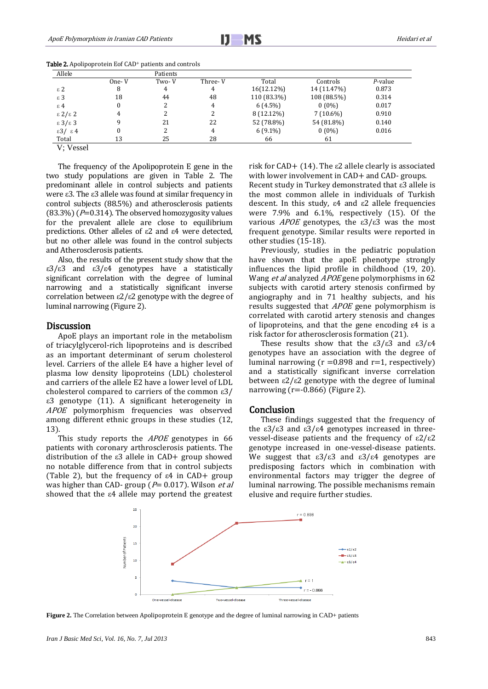| Allele                     | Patients |       |         |             |             |         |
|----------------------------|----------|-------|---------|-------------|-------------|---------|
|                            | One- V   | Two-V | Three-V | Total       | Controls    | P-value |
| $\varepsilon$ 2            | 8        | 4     | 4       | 16(12.12%)  | 14 (11.47%) | 0.873   |
| $\varepsilon$ 3            | 18       | 44    | 48      | 110 (83.3%) | 108 (88.5%) | 0.314   |
| $\epsilon$ 4               |          |       | 4       | $6(4.5\%)$  | $0(0\%)$    | 0.017   |
| $\epsilon$ 2/ $\epsilon$ 2 | 4        |       |         | 8 (12.12%)  | $7(10.6\%)$ | 0.910   |
| $\epsilon$ 3/ $\epsilon$ 3 | q        | 21    | 22      | 52 (78.8%)  | 54 (81.8%)  | 0.140   |
| $\epsilon$ 3/ $\epsilon$ 4 | 0        |       | 4       | $6(9.1\%)$  | $0(0\%)$    | 0.016   |
| Total                      | 13       | 25    | 28      | 66          | 61          |         |

Table 2. Apolipoprotein Eof CAD<sup>+</sup> patients and controls

V; Vessel

The frequency of the Apolipoprotein E gene in the two study populations are given in Table 2. The predominant allele in control subjects and patients were ε3. The ε3 allele was found at similar frequency in control subjects (88.5%) and atherosclerosis patients  $(83.3%)$  ( $P=0.314$ ). The observed homozygosity values for the prevalent allele are close to equilibrium predictions. Other alleles of ε2 and ε4 were detected, but no other allele was found in the control subjects and Atherosclerosis patients.

Also, the results of the present study show that the ε3/ε3 and ε3/ε4 genotypes have a statistically significant correlation with the degree of luminal narrowing and a statistically significant inverse correlation between ε2/ε2 genotype with the degree of luminal narrowing (Figure 2).

#### **Discussion**

ApoE plays an important role in the metabolism of triacylglycerol-rich lipoproteins and is described as an important determinant of serum cholesterol level. Carriers of the allele E4 have a higher level of plasma low density lipoproteins (LDL) cholesterol and carriers of the allele E2 have a lower level of LDL cholesterol compared to carriers of the common ε3/ ε3 genotype [\(11\)](#page-3-10). A significant heterogeneity in APOE polymorphism frequencies was observed among different ethnic groups in these studies [\(12,](#page-3-11) [13\)](#page-3-12).

This study reports the *APOE* genotypes in 66 patients with coronary arthrosclerosis patients. The distribution of the ε3 allele in CAD+ group showed no notable difference from that in control subjects (Table 2), but the frequency of ε4 in CAD+ group was higher than CAD- group ( $P= 0.017$ ). Wilson et al showed that the ε4 allele may portend the greatest risk for CAD+ [\(14\)](#page-3-13). The  $\varepsilon$ 2 allele clearly is associated with lower involvement in CAD+ and CAD- groups. Recent study in Turkey demonstrated that ε3 allele is the most common allele in individuals of Turkish descent. In this study, ε4 and ε2 allele frequencies were 7.9% and 6.1%, respectively [\(15\)](#page-3-14). Of the various *APOE* genotypes, the  $ε3/ε3$  was the most frequent genotype. Similar results were reported in other studies [\(15-18\)](#page-3-14).

Previously, studies in the pediatric population have shown that the apoE phenotype strongly influences the lipid profile in childhood [\(19,](#page-3-15) [20\)](#page-3-16)[.](http://www.sciencedirect.com/science/article/pii/S1933287411006714#bib23) Wang et al analyzed APOE gene polymorphisms in 62 subjects with carotid artery stenosis confirmed by angiography and in 71 healthy subjects, and his results suggested that APOE gene polymorphism is correlated with carotid artery stenosis and changes of lipoproteins, and that the gene encoding ε4 is a risk factor for atherosclerosis formation (21).

These results show that the  $\epsilon 3/\epsilon 3$  and  $\epsilon 3/\epsilon 4$ genotypes have an association with the degree of luminal narrowing ( $r = 0.898$  and  $r = 1$ , respectively) and a statistically significant inverse correlation between ε2/ε2 genotype with the degree of luminal narrowing  $(r=-0.866)$  (Figure 2).

#### Conclusion

These findings suggested that the frequency of the ε3/ε3 and ε3/ε4 genotypes increased in threevessel-disease patients and the frequency of ε2/ε2 genotype increased in one-vessel-disease patients. We suggest that  $\varepsilon 3/\varepsilon 3$  and  $\varepsilon 3/\varepsilon 4$  genotypes are predisposing factors which in combination with environmental factors may trigger the degree of luminal narrowing. The possible mechanisms remain elusive and require further studies.



**Figure 2.** The Correlation between Apolipoprotein E genotype and the degree of luminal narrowing in CAD+ patients